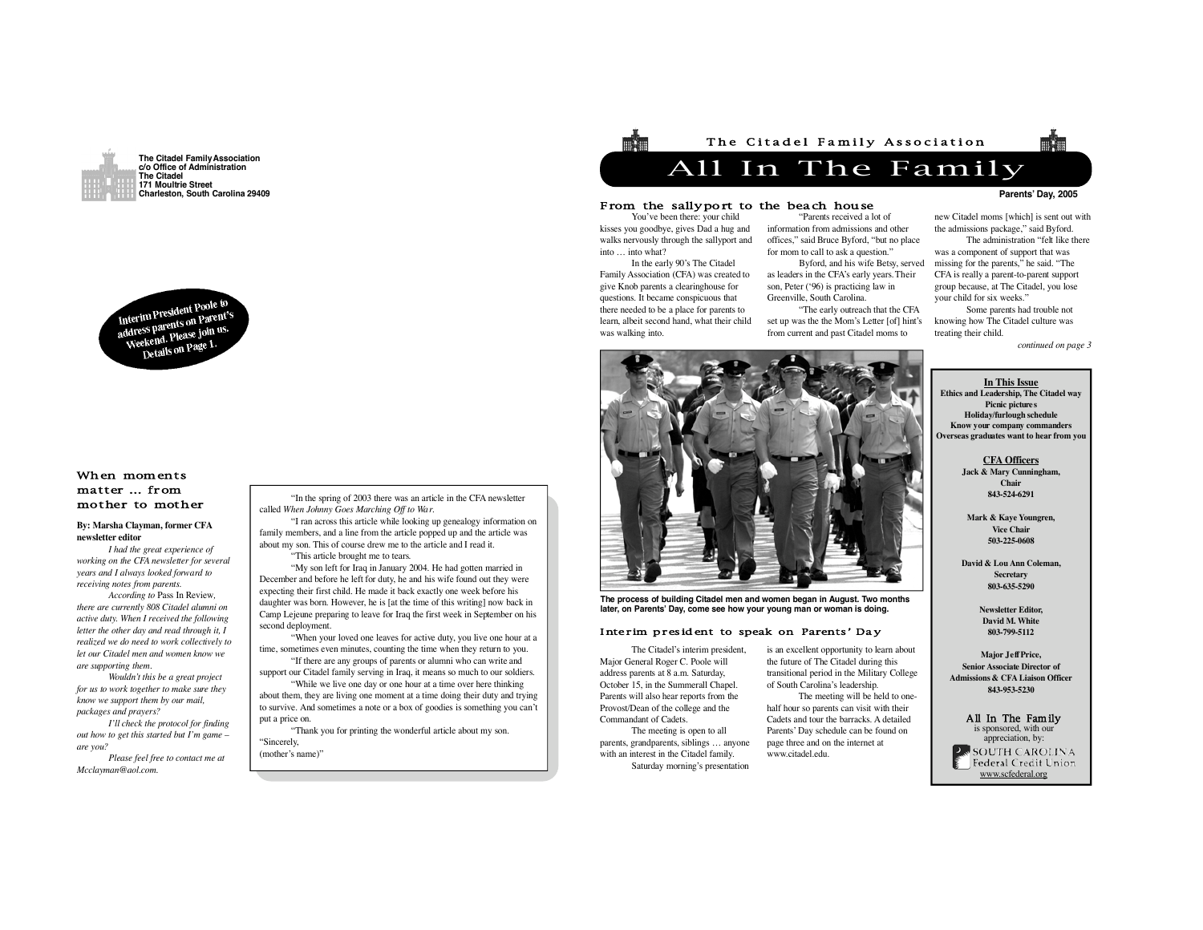



# When moments matter … from mother to mother

# **By: Marsha Clayman, former CFA n e w s l e t t e r e d i t o r**

*I had the great experience of working on the CFA newsletter for several years and I always looked forw a rd to receiving notes from parents.* 

*According to Pass In Review, t h e re are currently 808 Citadel alumni on active duty. When I received the following letter the other day and read through it, I realized we do need to work collectively to let our Citadel men and women know we*  $are$  *supporting them.* 

*Wouldn't this be a great project for us to work together to make sure they know we support them by our mail, packages and prayers?* 

*I'll check the protocol for finding out how to get this started but I'm game – are you*?

*Please feel free to contact me at*  $$ 

"In the spring of 2003 there was an article in the CFA newsletter called *When Johnny Goes Marching Off to Wa r*. "I ran across this article while looking up genealogy information on

family members, and a line from the article popped up and the article was about my son. This of course drew me to the article and I read it. "This article brought me to tears.

"My son left for Iraq in January 2004. He had gotten married in December and before he left for duty, he and his wife found out they were expecting their first child. He made it back exactly one week before his daughter was born. However, he is [at the time of this writing] now back in Camp Lejeune preparing to leave for Iraq the first week in September on his second deployment.

"When your loved one leaves for active duty, you live one hour at a time, sometimes even minutes, counting the time when they return to you.

"If there are any groups of parents or alumni who can write and support our Citadel family serving in Iraq, it means so much to our soldiers.

"While we live one day or one hour at a time over here thinking about them, they are living one moment at a time doing their duty and trying to survive. And sometimes a note or a box of goodies is something you can't put a price on.

"Thank you for printing the wonderful article about my son. "Sincerely.

(mother's name)"



## From the sallyport to the beach house

You've been there: your child kisses you goodbye, gives Dad a hug and walks nervously through the sallyport and into … into what?

In the early 90's The Citadel Family Association (CFA) was created to give Knob parents a clearinghouse for questions. It became conspicuous that there needed to be a place for parents to learn, albeit second hand, what their child was walking into.

"Parents received a lot of information from admissions and other offices," said Bruce Byford, "but no place for mom to call to ask a question."

Byford, and his wife Betsy, served as leaders in the CFA's early years. Their son, Peter ('96) is practicing law in Greenville, South Carolina.

"The early outreach that the CFA set up was the the Mom's Letter [of] hint's from current and past Citadel moms to

# **Parents' Dav, 2005**

new Citadel moms [which] is sent out with the admissions package," said Byford.

The administration "felt like there was a component of support that was missing for the parents," he said. "The CFA is really a parent-to-parent support group because, at The Citadel, you lose your child for six weeks."

Some parents had trouble not knowing how The Citadel culture was treating their child.

*continued on page 3*

## **In This Issue Ethics and Leadership, The Citadel way Picnic picture s Holiday/furlough schedule Know your company commanders Overseas graduates want to hear f rom you**

**CFA** Officers **Jack & Mary Cunningham,**  Chair **8 4 3 - 5 2 4 - 6 2 9 1**

**Mark & Kaye Youngren, Vice Chair 5 0 3 - 2 2 5 - 0 6 0 8**

**David & Lou Ann Coleman, S e c re t a ry 8 0 3 - 6 3 5 - 5 2 9 0**

> **Newsletter Editor. David M. White 8 0 3 - 7 9 9 - 5 11 2**

**Maior Leff Price. Senior Associate Director of Admissions & CFA Liaison Officer 8 4 3 - 9 5 3 - 5 2 3 0**

All In The Family s sponsored, with ou appreciation, by: SOUTH CAROLINA Federal Credit Union www.scfederal.org



**The process of building Citadel men and women began in August. Two months l a t e r, on Parents' D a y, come see how your young man or woman is doing.**

## Interim president to speak on Parents' Day

The Citadel's interim president, Major General Roger C. Poole will address parents at 8 a.m. Saturday, October 15, in the Summerall Chapel. Parents will also hear reports from the Provost/Dean of the college and the Commandant of Cadets. The meeting is open to all parents, grandparents, siblings … anyone with an interest in the Citadel family.

Saturday morning's presentation

is an excellent opportunity to learn about the future of The Citadel during this transitional period in the Military College of South Carolina's leadership.

The meeting will be held to onehalf hour so parents can visit with their Cadets and tour the barracks. A detailed Parents' Day schedule can be found on page three and on the internet at www.citadel.edu.